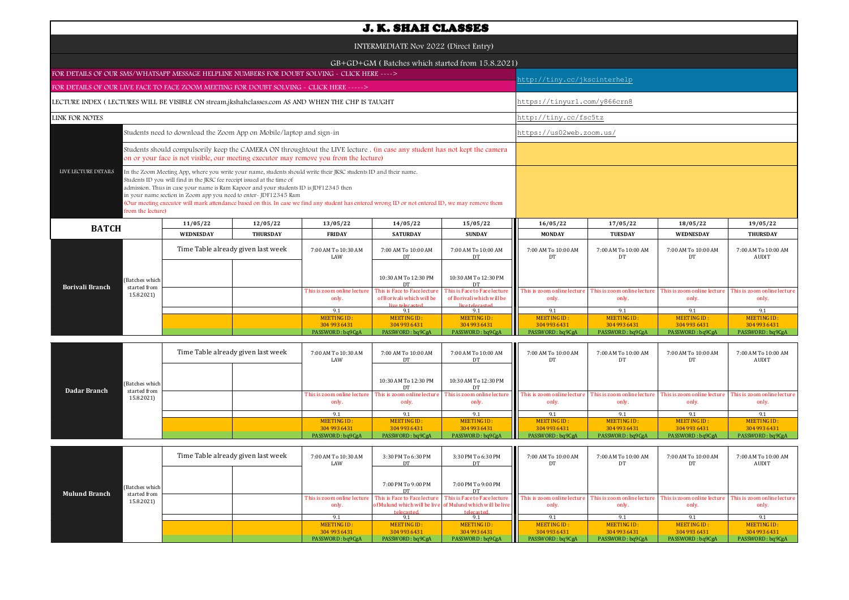| <b>J. K. SHAH CLASSES</b>                                                                         |                                                                                                                                                                                                                                                                                                                                                                                                                                                                                                             |                 |                                                                                                                                                                                                                      |                                                           |                                                           |                                     |                                     |                                      |                                      |  |  |
|---------------------------------------------------------------------------------------------------|-------------------------------------------------------------------------------------------------------------------------------------------------------------------------------------------------------------------------------------------------------------------------------------------------------------------------------------------------------------------------------------------------------------------------------------------------------------------------------------------------------------|-----------------|----------------------------------------------------------------------------------------------------------------------------------------------------------------------------------------------------------------------|-----------------------------------------------------------|-----------------------------------------------------------|-------------------------------------|-------------------------------------|--------------------------------------|--------------------------------------|--|--|
| INTERMEDIATE Nov 2022 (Direct Entry)                                                              |                                                                                                                                                                                                                                                                                                                                                                                                                                                                                                             |                 |                                                                                                                                                                                                                      |                                                           |                                                           |                                     |                                     |                                      |                                      |  |  |
| GB+GD+GM (Batches which started from 15.8.2021)                                                   |                                                                                                                                                                                                                                                                                                                                                                                                                                                                                                             |                 |                                                                                                                                                                                                                      |                                                           |                                                           |                                     |                                     |                                      |                                      |  |  |
| FOR DETAILS OF OUR SMS/WHATSAPP MESSAGE HELPLINE NUMBERS FOR DOUBT SOLVING - CLICK HERE ---->     |                                                                                                                                                                                                                                                                                                                                                                                                                                                                                                             |                 |                                                                                                                                                                                                                      |                                                           |                                                           |                                     | http://tiny.cc/jkscinterhelp        |                                      |                                      |  |  |
| FOR DETAILS OF OUR LIVE FACE TO FACE ZOOM MEETING FOR DOUBT SOLVING - CLICK HERE ----->           |                                                                                                                                                                                                                                                                                                                                                                                                                                                                                                             |                 |                                                                                                                                                                                                                      |                                                           |                                                           |                                     |                                     |                                      |                                      |  |  |
| LECTURE INDEX (LECTURES WILL BE VISIBLE ON stream.jkshahclasses.com AS AND WHEN THE CHP IS TAUGHT |                                                                                                                                                                                                                                                                                                                                                                                                                                                                                                             |                 |                                                                                                                                                                                                                      |                                                           |                                                           | https://tinyurl.com/y866crn8        |                                     |                                      |                                      |  |  |
| <b>LINK FOR NOTES</b>                                                                             |                                                                                                                                                                                                                                                                                                                                                                                                                                                                                                             |                 |                                                                                                                                                                                                                      |                                                           |                                                           | http://tiny.cc/fsc5tz               |                                     |                                      |                                      |  |  |
|                                                                                                   | Students need to download the Zoom App on Mobile/laptop and sign-in                                                                                                                                                                                                                                                                                                                                                                                                                                         |                 |                                                                                                                                                                                                                      |                                                           |                                                           | https://us02web.zoom.us/            |                                     |                                      |                                      |  |  |
|                                                                                                   |                                                                                                                                                                                                                                                                                                                                                                                                                                                                                                             |                 | Students should compulsorily keep the CAMERA ON throughtout the LIVE lecture . (in case any student has not kept the camera<br>on or your face is not visible, our meeting executor may remove you from the lecture) |                                                           |                                                           |                                     |                                     |                                      |                                      |  |  |
| LIVE LECTURE DETAILS<br>from the lecture)                                                         | In the Zoom Meeting App, where you write your name, students should write their JKSC students ID and their name.<br>Students ID you will find in the JKSC fee receipt issued at the time of<br>admission. Thus in case your name is Ram Kapoor and your students ID is JDF12345 then<br>in your name section in Zoom app you need to enter-JDF12345 Ram<br>(Our meeting executor will mark attendance based on this. In case we find any student has entered wrong ID or not entered ID, we may remove them |                 |                                                                                                                                                                                                                      |                                                           |                                                           |                                     |                                     |                                      |                                      |  |  |
| <b>BATCH</b>                                                                                      | 11/05/22                                                                                                                                                                                                                                                                                                                                                                                                                                                                                                    | 12/05/22        | 13/05/22                                                                                                                                                                                                             | 14/05/22                                                  | 15/05/22                                                  | 16/05/22                            | 17/05/22                            | 18/05/22                             | 19/05/22                             |  |  |
|                                                                                                   | <b>WEDNESDAY</b>                                                                                                                                                                                                                                                                                                                                                                                                                                                                                            | <b>THURSDAY</b> | <b>FRIDAY</b>                                                                                                                                                                                                        | <b>SATURDAY</b>                                           | <b>SUNDAY</b>                                             | <b>MONDAY</b>                       | <b>TUESDAY</b>                      | WEDNESDAY                            | <b>THURSDAY</b>                      |  |  |
|                                                                                                   | Time Table already given last week                                                                                                                                                                                                                                                                                                                                                                                                                                                                          |                 | 7:00 AM To 10:30 AM<br>LAW                                                                                                                                                                                           | 7:00 AM To 10:00 AM<br>DT                                 | 7:00 AM To 10:00 AM<br><b>DT</b>                          | 7:00 AM To 10:00 AM<br>DT           | 7:00 AM To 10:00 AM<br>DT           | 7:00 AM To 10:00 AM<br>DT            | 7:00 AM To 10:00 AM<br><b>AUDIT</b>  |  |  |
| (Batches which<br><b>Borivali Branch</b><br>started from                                          |                                                                                                                                                                                                                                                                                                                                                                                                                                                                                                             |                 |                                                                                                                                                                                                                      | 10:30 AM To 12:30 PM<br>D <sub>1</sub>                    | 10:30 AM To 12:30 PM                                      |                                     |                                     |                                      |                                      |  |  |
| 15.8.2021)                                                                                        |                                                                                                                                                                                                                                                                                                                                                                                                                                                                                                             |                 | This is zoom online lecture<br>only.                                                                                                                                                                                 | This is Face to Face lecture<br>of Borivali which will be | This is Face to Face lecture<br>of Borivali which will be | This is zoom online lectur<br>only. | This is zoom online lectur<br>only. | This is zoom online lecture<br>only. | This is zoom online lecture<br>only. |  |  |
|                                                                                                   |                                                                                                                                                                                                                                                                                                                                                                                                                                                                                                             |                 | 9.1                                                                                                                                                                                                                  | live telecasted<br>9.1                                    | live telecasted<br>9.1                                    | 9.1                                 | 9.1                                 | 9.1                                  | 9.1                                  |  |  |
|                                                                                                   |                                                                                                                                                                                                                                                                                                                                                                                                                                                                                                             |                 | MEETING ID:                                                                                                                                                                                                          | <b>MEETING ID:</b>                                        | MEETING ID:                                               | <b>MEETING ID:</b>                  | <b>MEETING ID:</b>                  | <b>MEETING ID:</b>                   | <b>MEETING ID:</b>                   |  |  |
|                                                                                                   |                                                                                                                                                                                                                                                                                                                                                                                                                                                                                                             |                 | 304 993 6431<br>PASSWORD: bq9CgA                                                                                                                                                                                     | 304 993 6431<br>PASSWORD: bq9CgA                          | 304 993 6431<br>PASSWORD: bq9CgA                          | 304 993 6431<br>PASSWORD: bq9CgA    | 304 993 6431<br>PASSWORD: bq9CgA    | 304 993 6431<br>PASSWORD: bq9CgA     | 304 993 6431<br>PASSWORD: bq9CgA     |  |  |
|                                                                                                   |                                                                                                                                                                                                                                                                                                                                                                                                                                                                                                             |                 |                                                                                                                                                                                                                      |                                                           |                                                           |                                     |                                     |                                      |                                      |  |  |

| <b>Dadar Branch</b> |                                              | Time Table already given last week |  | 7:00 AM To 10:30 AM<br>LAW           | 7:00 AM To 10:00 AM                                              | 7:00 AM To 10:00 AM<br>DT   | 7:00 AM To 10:00 AM<br>DТ                                                                                                | 7:00 AM To 10:00 AM         | 7:00 AM To 10:00 AM<br>DT   | 7:00 AM To 10:00 AM<br>AUDIT       |
|---------------------|----------------------------------------------|------------------------------------|--|--------------------------------------|------------------------------------------------------------------|-----------------------------|--------------------------------------------------------------------------------------------------------------------------|-----------------------------|-----------------------------|------------------------------------|
|                     | (Batches which<br>started from<br>15.8.2021) |                                    |  |                                      | 10:30 AM To 12:30 PM                                             | 10:30 AM To 12:30 PM        |                                                                                                                          |                             |                             |                                    |
|                     |                                              |                                    |  | This is zoom online lecture<br>only. | This is zoom online lecture This is zoom online lecture<br>only. | only.                       | This is zoom online lecture This is zoom online lecture This is zoom online lecture This is zoom online lecture<br>only. | only.                       | only.                       | only.                              |
|                     |                                              |                                    |  | 9.1                                  |                                                                  |                             | 9.1                                                                                                                      |                             |                             |                                    |
|                     |                                              |                                    |  | MEETING ID:<br>304 993 6431          | MEETING ID:<br>304 993 6431                                      | MEETING ID:<br>304 993 6431 | MEETING ID:<br>304 993 6431                                                                                              | MEETING ID:<br>304 993 6431 | MEETING ID:<br>304 993 6431 | <b>MEETING ID:</b><br>304 993 6431 |
|                     |                                              |                                    |  | PASSWORD: bq9CgA                     | PASSWORD: bq9CgA                                                 | PASSWORD: bq9CgA            | PASSWORD: bq9CgA                                                                                                         | PASSWORD: bq9CgA            | PASSWORD: bq9CgA            | PASSWORD: bq9CgA                   |

| (Batches which<br><b>Mulund Branch</b><br>started from<br>15.8.2021) | Time Table already given last week |  | 7:00 AM To 10:30 AM<br>LAW | 3:30 PM To 6:30 PM<br>DT | 3:30 PM To 6:30 PM<br>DT                                                | 7:00 AM To 10:00 AM<br>DТ | 7:00 AM To 10:00 AM | 7:00 AM To 10:00 AM | 7:00 AM To 10:00 AM<br><b>AUDIT</b> |
|----------------------------------------------------------------------|------------------------------------|--|----------------------------|--------------------------|-------------------------------------------------------------------------|---------------------------|---------------------|---------------------|-------------------------------------|
|                                                                      |                                    |  |                            | 7:00 PM To 9:00 PM<br>DT | 7:00 PM To 9:00 PM<br>DТ                                                |                           |                     |                     |                                     |
|                                                                      |                                    |  | only.                      | telecasted               | of Mulund which will be live of Mulund which will be live<br>telecasted | only.                     | only.               | only.               | only.                               |
|                                                                      |                                    |  |                            |                          | 9.1                                                                     | 9.1                       |                     | $Q_1$               |                                     |
|                                                                      |                                    |  | MEETING ID:                | MEETING ID:              | MEETING ID:                                                             | <b>MEETING ID:</b>        | MEETING ID:         | MEETING ID:         | MEETING ID:                         |
|                                                                      |                                    |  | 304 993 6431               | 304 993 6431             | 304 993 6431                                                            | 304 993 6431              | 304 993 6431        | 304 993 6431        | 304 993 6431                        |
|                                                                      |                                    |  | PASSWORD: bq9CgA           | PASSWORD: bq9CgA         | PASSWORD: bq9CgA                                                        | PASSWORD: bq9CgA          | PASSWORD: bq9CgA    | PASSWORD: bq9CgA    | PASSWORD: bq9CgA                    |